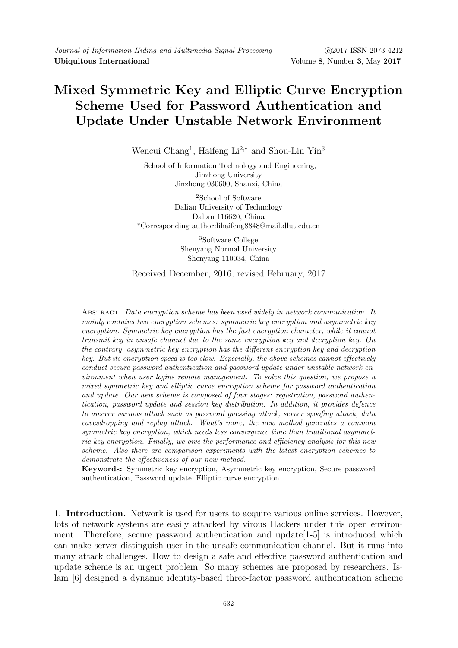## Mixed Symmetric Key and Elliptic Curve Encryption Scheme Used for Password Authentication and Update Under Unstable Network Environment

Wencui Chang<sup>1</sup>, Haifeng Li<sup>2,∗</sup> and Shou-Lin Yin<sup>3</sup>

<sup>1</sup>School of Information Technology and Engineering, Jinzhong University Jinzhong 030600, Shanxi, China

<sup>2</sup>School of Software Dalian University of Technology Dalian 116620, China <sup>∗</sup>Corresponding author:lihaifeng8848@mail.dlut.edu.cn

> <sup>3</sup>Software College Shenyang Normal University Shenyang 110034, China

Received December, 2016; revised February, 2017

Abstract. Data encryption scheme has been used widely in network communication. It mainly contains two encryption schemes: symmetric key encryption and asymmetric key encryption. Symmetric key encryption has the fast encryption character, while it cannot transmit key in unsafe channel due to the same encryption key and decryption key. On the contrary, asymmetric key encryption has the different encryption key and decryption key. But its encryption speed is too slow. Especially, the above schemes cannot effectively conduct secure password authentication and password update under unstable network environment when user logins remote management. To solve this question, we propose a mixed symmetric key and elliptic curve encryption scheme for password authentication and update. Our new scheme is composed of four stages: registration, password authentication, password update and session key distribution. In addition, it provides defence to answer various attack such as password guessing attack, server spoofing attack, data eavesdropping and replay attack. What's more, the new method generates a common symmetric key encryption, which needs less convergence time than traditional asymmetric key encryption. Finally, we give the performance and efficiency analysis for this new scheme. Also there are comparison experiments with the latest encryption schemes to demonstrate the effectiveness of our new method.

Keywords: Symmetric key encryption, Asymmetric key encryption, Secure password authentication, Password update, Elliptic curve encryption

1. Introduction. Network is used for users to acquire various online services. However, lots of network systems are easily attacked by virous Hackers under this open environment. Therefore, secure password authentication and update[1-5] is introduced which can make server distinguish user in the unsafe communication channel. But it runs into many attack challenges. How to design a safe and effective password authentication and update scheme is an urgent problem. So many schemes are proposed by researchers. Islam [6] designed a dynamic identity-based three-factor password authentication scheme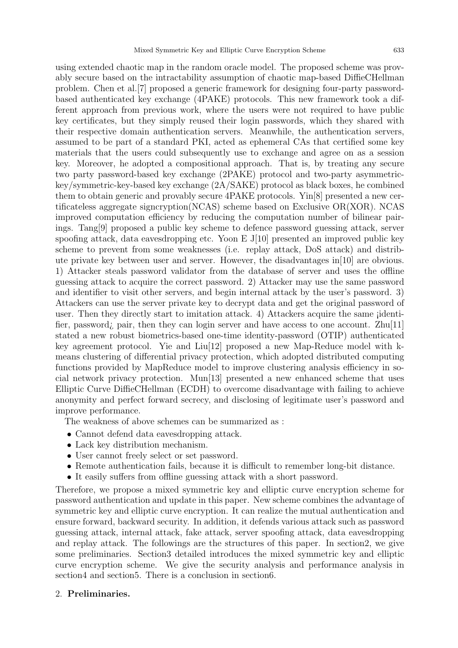using extended chaotic map in the random oracle model. The proposed scheme was provably secure based on the intractability assumption of chaotic map-based DiffieCHellman problem. Chen et al.[7] proposed a generic framework for designing four-party passwordbased authenticated key exchange (4PAKE) protocols. This new framework took a different approach from previous work, where the users were not required to have public key certificates, but they simply reused their login passwords, which they shared with their respective domain authentication servers. Meanwhile, the authentication servers, assumed to be part of a standard PKI, acted as ephemeral CAs that certified some key materials that the users could subsequently use to exchange and agree on as a session key. Moreover, he adopted a compositional approach. That is, by treating any secure two party password-based key exchange (2PAKE) protocol and two-party asymmetrickey/symmetric-key-based key exchange (2A/SAKE) protocol as black boxes, he combined them to obtain generic and provably secure 4PAKE protocols. Yin[8] presented a new certificateless aggregate signcryption(NCAS) scheme based on Exclusive OR(XOR). NCAS improved computation efficiency by reducing the computation number of bilinear pairings. Tang[9] proposed a public key scheme to defence password guessing attack, server spoofing attack, data eavesdropping etc. Yoon E  $J[10]$  presented an improved public key scheme to prevent from some weaknesses (i.e. replay attack, DoS attack) and distribute private key between user and server. However, the disadvantages in[10] are obvious. 1) Attacker steals password validator from the database of server and uses the offline guessing attack to acquire the correct password. 2) Attacker may use the same password and identifier to visit other servers, and begin internal attack by the user's password. 3) Attackers can use the server private key to decrypt data and get the original password of user. Then they directly start to imitation attack. 4) Attackers acquire the same ¡identifier, password; pair, then they can login server and have access to one account. Zhu[11] stated a new robust biometrics-based one-time identity-password (OTIP) authenticated key agreement protocol. Yie and Liu[12] proposed a new Map-Reduce model with kmeans clustering of differential privacy protection, which adopted distributed computing functions provided by MapReduce model to improve clustering analysis efficiency in social network privacy protection. Mun[13] presented a new enhanced scheme that uses Elliptic Curve DiffieCHellman (ECDH) to overcome disadvantage with failing to achieve anonymity and perfect forward secrecy, and disclosing of legitimate user's password and improve performance.

The weakness of above schemes can be summarized as :

- Cannot defend data eavesdropping attack.
- Lack key distribution mechanism.
- User cannot freely select or set password.
- Remote authentication fails, because it is difficult to remember long-bit distance.
- It easily suffers from offline guessing attack with a short password.

Therefore, we propose a mixed symmetric key and elliptic curve encryption scheme for password authentication and update in this paper. New scheme combines the advantage of symmetric key and elliptic curve encryption. It can realize the mutual authentication and ensure forward, backward security. In addition, it defends various attack such as password guessing attack, internal attack, fake attack, server spoofing attack, data eavesdropping and replay attack. The followings are the structures of this paper. In section2, we give some preliminaries. Section3 detailed introduces the mixed symmetric key and elliptic curve encryption scheme. We give the security analysis and performance analysis in section4 and section5. There is a conclusion in section6.

## 2. Preliminaries.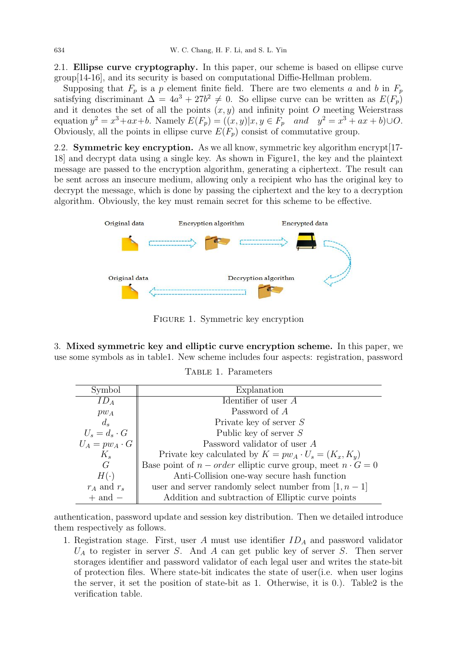2.1. Ellipse curve cryptography. In this paper, our scheme is based on ellipse curve group[14-16], and its security is based on computational Diffie-Hellman problem.

Supposing that  $F_p$  is a p element finite field. There are two elements a and b in  $F_p$ satisfying discriminant  $\Delta = 4a^3 + 27b^2 \neq 0$ . So ellipse curve can be written as  $E(F_p)$ and it denotes the set of all the points  $(x, y)$  and infinity point O meeting Weierstrass equation  $y^2 = x^3 + ax + b$ . Namely  $E(F_p) = ((x, y)|x, y \in F_p$  and  $y^2 = x^3 + ax + b) \cup O$ . Obviously, all the points in ellipse curve  $E(F_n)$  consist of commutative group.

2.2. Symmetric key encryption. As we all know, symmetric key algorithm encrypt[17- 18] and decrypt data using a single key. As shown in Figure1, the key and the plaintext message are passed to the encryption algorithm, generating a ciphertext. The result can be sent across an insecure medium, allowing only a recipient who has the original key to decrypt the message, which is done by passing the ciphertext and the key to a decryption algorithm. Obviously, the key must remain secret for this scheme to be effective.



Figure 1. Symmetric key encryption

3. Mixed symmetric key and elliptic curve encryption scheme. In this paper, we use some symbols as in table1. New scheme includes four aspects: registration, password

| Symbol               | Explanation                                                        |  |  |  |  |
|----------------------|--------------------------------------------------------------------|--|--|--|--|
| $ID_A$               | Identifier of user $A$                                             |  |  |  |  |
| $pw_A$               | Password of A                                                      |  |  |  |  |
| $d_s$                | Private key of server $S$                                          |  |  |  |  |
| $U_s = d_s \cdot G$  | Public key of server $S$                                           |  |  |  |  |
| $U_A = pw_A \cdot G$ | Password validator of user A                                       |  |  |  |  |
| $K_s$                | Private key calculated by $K = pw_A \cdot U_s = (K_x, K_y)$        |  |  |  |  |
| G                    | Base point of $n-order$ elliptic curve group, meet $n \cdot G = 0$ |  |  |  |  |
| $H(\cdot)$           | Anti-Collision one-way secure hash function                        |  |  |  |  |
| $r_A$ and $r_s$      | user and server randomly select number from $[1, n-1]$             |  |  |  |  |
| $+$ and $-$          | Addition and subtraction of Elliptic curve points                  |  |  |  |  |

Table 1. Parameters

authentication, password update and session key distribution. Then we detailed introduce them respectively as follows.

1. Registration stage. First, user  $A$  must use identifier  $ID<sub>A</sub>$  and password validator  $U_A$  to register in server S. And A can get public key of server S. Then server storages identifier and password validator of each legal user and writes the state-bit of protection files. Where state-bit indicates the state of user(i.e. when user logins the server, it set the position of state-bit as 1. Otherwise, it is 0.). Table2 is the verification table.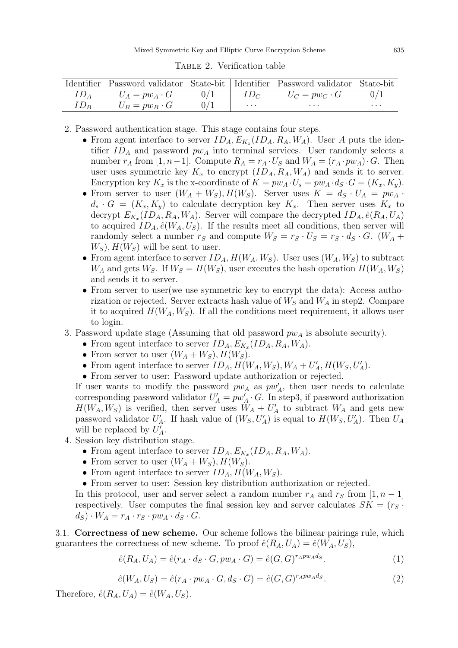|                 |                       |          | Identifier Password validator State-bit    Identifier Password validator State-bit |          |
|-----------------|-----------------------|----------|------------------------------------------------------------------------------------|----------|
|                 | $U_A = pw_A \cdot G$  | $ID_C$   | $U_C = p w_C \cdot G$                                                              |          |
| ID <sub>B</sub> | $U_B = p w_B \cdot G$ | $\cdots$ | $\cdots$                                                                           | $\cdots$ |

Table 2. Verification table

2. Password authentication stage. This stage contains four steps.

- From agent interface to server  $ID_A, E_{K_x}(ID_A, R_A, W_A)$ . User A puts the identifier  $ID_A$  and password  $pw_A$  into terminal services. User randomly selects a number  $r_A$  from [1, n – 1]. Compute  $R_A = r_A \cdot U_S$  and  $W_A = (r_A \cdot pw_A) \cdot G$ . Then user uses symmetric key  $K_x$  to encrypt  $(ID_A, R_A, W_A)$  and sends it to server. Encryption key  $K_x$  is the x-coordinate of  $K = p w_A \cdot U_s = p w_A \cdot d_S \cdot G = (K_x, K_y)$ .
- From server to user  $(W_A + W_S), H(W_S)$ . Server uses  $K = d_S \cdot U_A = pw_A$ .  $d_s \cdot G = (K_x, K_y)$  to calculate decryption key  $K_x$ . Then server uses  $K_x$  to decrypt  $E_{K_x}(ID_A, R_A, W_A)$ . Server will compare the decrypted  $ID_A, \hat{e}(R_A, U_A)$ to acquired  $ID_A$ ,  $\hat{e}(W_A, U_S)$ . If the results meet all conditions, then server will randomly select a number  $r_S$  and compute  $W_S = r_S \cdot U_S = r_S \cdot d_S \cdot G$ . ( $W_A$  +  $W<sub>S</sub>$ ,  $H(W<sub>S</sub>)$  will be sent to user.
- From agent interface to server  $ID_A$ ,  $H(W_A, W_S)$ . User uses  $(W_A, W_S)$  to subtract  $W_A$  and gets  $W_S$ . If  $W_S = H(W_S)$ , user executes the hash operation  $H(W_A, W_S)$ and sends it to server.
- From server to user (we use symmetric key to encrypt the data): Access authorization or rejected. Server extracts hash value of  $W_S$  and  $W_A$  in step2. Compare it to acquired  $H(W_A, W_S)$ . If all the conditions meet requirement, it allows user to login.
- 3. Password update stage (Assuming that old password  $pw_A$  is absolute security).
	- From agent interface to server  $ID_A, E_{K_x}(ID_A, R_A, W_A)$ .
	- From server to user  $(W_A + W_S), H(W_S)$ .
	- From agent interface to server  $ID_A$ ,  $H(W_A, W_S)$ ,  $W_A + U'_A$ ,  $H(W_S, U'_A)$ .
	- From server to user: Password update authorization or rejected.

If user wants to modify the password  $pw_A$  as  $pw'_A$ , then user needs to calculate corresponding password validator  $U'_A = pw'_A \cdot G$ . In step3, if password authorization  $H(W_A, W_S)$  is verified, then server uses  $W_A + U'_A$  to subtract  $W_A$  and gets new password validator  $U'_A$ . If hash value of  $(W_S, U'_A)$  is equal to  $H(W_S, U'_A)$ . Then  $U_A$ will be replaced by  $U'_A$ .

- 4. Session key distribution stage.
	- From agent interface to server  $ID_A, E_{K_x}(ID_A, R_A, W_A)$ .
	- From server to user  $(W_A + W_S), H(W_S)$ .
	- From agent interface to server  $ID_A$ ,  $H(W_A, W_S)$ .
	- From server to user: Session key distribution authorization or rejected.

In this protocol, user and server select a random number  $r_A$  and  $r_S$  from [1, n – 1] respectively. User computes the final session key and server calculates  $SK = (r_S \cdot$  $d_S \cdot W_A = r_A \cdot r_S \cdot pw_A \cdot d_S \cdot G.$ 

3.1. Correctness of new scheme. Our scheme follows the bilinear pairings rule, which guarantees the correctness of new scheme. To proof  $\hat{e}(R_A, U_A) = \hat{e}(W_A, U_S)$ ,

$$
\hat{e}(R_A, U_A) = \hat{e}(r_A \cdot d_S \cdot G, pw_A \cdot G) = \hat{e}(G, G)^{r_A pw_A ds}.
$$
\n(1)

$$
\hat{e}(W_A, U_S) = \hat{e}(r_A \cdot pw_A \cdot G, d_S \cdot G) = \hat{e}(G, G)^{r_A pw_A d_S}.
$$
\n<sup>(2)</sup>

Therefore,  $\hat{e}(R_A, U_A) = \hat{e}(W_A, U_S)$ .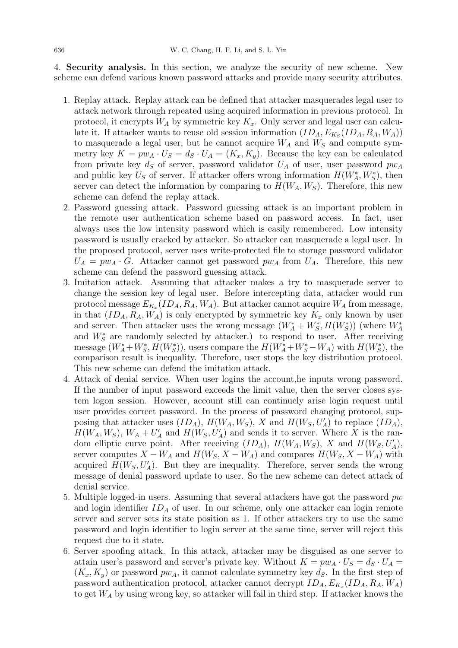4. Security analysis. In this section, we analyze the security of new scheme. New scheme can defend various known password attacks and provide many security attributes.

- 1. Replay attack. Replay attack can be defined that attacker masquerades legal user to attack network through repeated using acquired information in previous protocol. In protocol, it encrypts  $W_A$  by symmetric key  $K_x$ . Only server and legal user can calculate it. If attacker wants to reuse old session information  $(ID_A, E_{K_S}(ID_A, R_A, W_A))$ to masquerade a legal user, but he cannot acquire  $W_A$  and  $W_S$  and compute symmetry key  $K = pw_A \cdot U_S = d_S \cdot U_A = (K_x, K_y)$ . Because the key can be calculated from private key  $d_S$  of server, password validator  $U_A$  of user, user password  $pw_A$ and public key  $U_S$  of server. If attacker offers wrong information  $H(W_A^*, W_S^*)$ , then server can detect the information by comparing to  $H(W_A, W_S)$ . Therefore, this new scheme can defend the replay attack.
- 2. Password guessing attack. Password guessing attack is an important problem in the remote user authentication scheme based on password access. In fact, user always uses the low intensity password which is easily remembered. Low intensity password is usually cracked by attacker. So attacker can masquerade a legal user. In the proposed protocol, server uses write-protected file to storage password validator  $U_A = pw_A \cdot G$ . Attacker cannot get password  $pw_A$  from  $U_A$ . Therefore, this new scheme can defend the password guessing attack.
- 3. Imitation attack. Assuming that attacker makes a try to masquerade server to change the session key of legal user. Before intercepting data, attacker would run protocol message  $E_{K_x}(ID_A, R_A, W_A)$ . But attacker cannot acquire  $W_A$  from message, in that  $(ID<sub>A</sub>, R<sub>A</sub>, W<sub>A</sub>)$  is only encrypted by symmetric key  $K<sub>x</sub>$  only known by user and server. Then attacker uses the wrong message  $(W_A^* + W_S^*, H(W_S^*))$  (where  $W_A^*$ and  $W_S^*$  are randomly selected by attacker.) to respond to user. After receiving message  $(W_A^* + W_S^*, H(W_S^*)),$  users compare the  $H(W_A^* + W_S^* - W_A)$  with  $H(W_S^*),$  the comparison result is inequality. Therefore, user stops the key distribution protocol. This new scheme can defend the imitation attack.
- 4. Attack of denial service. When user logins the account,he inputs wrong password. If the number of input password exceeds the limit value, then the server closes system logon session. However, account still can continuely arise login request until user provides correct password. In the process of password changing protocol, supposing that attacker uses  $(ID_A), H(W_A, W_S), X$  and  $H(W_S, U'_A)$  to replace  $(ID_A),$  $H(W_A, W_S)$ ,  $W_A + U'_A$  and  $H(W_S, U'_A)$  and sends it to server. Where X is the random elliptic curve point. After receiving  $(ID_A), H(W_A, W_S), X$  and  $H(W_S, U'_A),$ server computes  $X - W_A$  and  $H(W_S, X - W_A)$  and compares  $H(W_S, X - W_A)$  with acquired  $H(W_S, U'_A)$ . But they are inequality. Therefore, server sends the wrong message of denial password update to user. So the new scheme can detect attack of denial service.
- 5. Multiple logged-in users. Assuming that several attackers have got the password  $pw$ and login identifier  $ID_A$  of user. In our scheme, only one attacker can login remote server and server sets its state position as 1. If other attackers try to use the same password and login identifier to login server at the same time, server will reject this request due to it state.
- 6. Server spoofing attack. In this attack, attacker may be disguised as one server to attain user's password and server's private key. Without  $K = pw_A \cdot U_S = d_S \cdot U_A =$  $(K_x, K_y)$  or password  $pw_A$ , it cannot calculate symmetry key  $d_S$ . In the first step of password authentication protocol, attacker cannot decrypt  $ID_A$ ,  $E_{K_x}(ID_A, R_A, W_A)$ to get  $W_A$  by using wrong key, so attacker will fail in third step. If attacker knows the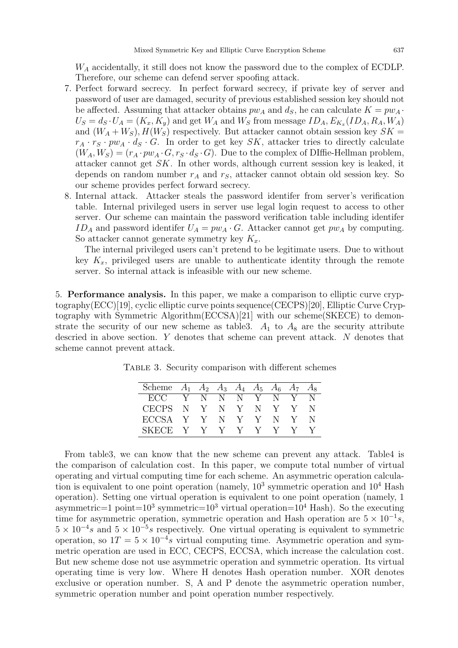$W_A$  accidentally, it still does not know the password due to the complex of ECDLP. Therefore, our scheme can defend server spoofing attack.

- 7. Perfect forward secrecy. In perfect forward secrecy, if private key of server and password of user are damaged, security of previous established session key should not be affected. Assuming that attacker obtains  $pw_A$  and  $d_S$ , he can calculate  $K = pw_A$ .  $U_S = d_S \cdot U_A = (K_x, K_y)$  and get  $W_A$  and  $W_S$  from message  $ID_A, E_{K_x}(ID_A, R_A, W_A)$ and  $(W_A + W_S)$ ,  $H(W_S)$  respectively. But attacker cannot obtain session key  $SK =$  $r_A \cdot r_S \cdot pw_A \cdot d_S \cdot G$ . In order to get key SK, attacker tries to directly calculate  $(W_A, W_S) = (r_A \cdot pw_A \cdot G, r_S \cdot d_S \cdot G)$ . Due to the complex of DIffie-Hellman problem, attacker cannot get SK. In other words, although current session key is leaked, it depends on random number  $r_A$  and  $r_S$ , attacker cannot obtain old session key. So our scheme provides perfect forward secrecy.
- 8. Internal attack. Attacker steals the password identifer from server's verification table. Internal privileged users in server use legal login request to access to other server. Our scheme can maintain the password verification table including identifer  $ID_A$  and password identifer  $U_A = pw_A \cdot G$ . Attacker cannot get  $pw_A$  by computing. So attacker cannot generate symmetry key  $K_x$ .

The internal privileged users can't pretend to be legitimate users. Due to without key  $K_x$ , privileged users are unable to authenticate identity through the remote server. So internal attack is infeasible with our new scheme.

5. Performance analysis. In this paper, we make a comparison to elliptic curve cryptography(ECC)[19], cyclic elliptic curve points sequence(CECPS)[20], Elliptic Curve Cryptography with Symmetric Algorithm(ECCSA)[21] with our scheme(SKECE) to demonstrate the security of our new scheme as table 3.  $A_1$  to  $A_8$  are the security attribute descried in above section. Y denotes that scheme can prevent attack. N denotes that scheme cannot prevent attack.

| Scheme       |              | $A_1$ $A_2$ $A_3$ $A_4$ $A_5$ $A_6$ $A_7$ |              |               |              |              | $A_8$ |
|--------------|--------------|-------------------------------------------|--------------|---------------|--------------|--------------|-------|
| ECC          | $\mathbf{V}$ | - N                                       | N.           | - N-          | $\mathbf{Y}$ | N            |       |
| <b>CECPS</b> | - N          | $\mathbf{Y}$                              | N            | $\mathbf{V}$  | $\mathbb{N}$ | <sup>V</sup> |       |
| ECCSA Y      |              | $\mathbf{Y}$                              | N            | $-\mathbf{Y}$ | Y.           | N            | N     |
| SKECE        | V.           | V.                                        | $\mathbf{V}$ | V.            | V.           |              |       |

Table 3. Security comparison with different schemes

From table3, we can know that the new scheme can prevent any attack. Table4 is the comparison of calculation cost. In this paper, we compute total number of virtual operating and virtual computing time for each scheme. An asymmetric operation calculation is equivalent to one point operation (namely,  $10^3$  symmetric operation and  $10^4$  Hash operation). Setting one virtual operation is equivalent to one point operation (namely, 1 asymmetric=1 point=10<sup>3</sup> symmetric=10<sup>3</sup> virtual operation=10<sup>4</sup> Hash). So the executing time for asymmetric operation, symmetric operation and Hash operation are  $5 \times 10^{-1}s$ ,  $5 \times 10^{-4}s$  and  $5 \times 10^{-5}s$  respectively. One virtual operating is equivalent to symmetric operation, so  $1T = 5 \times 10^{-4}s$  virtual computing time. Asymmetric operation and symmetric operation are used in ECC, CECPS, ECCSA, which increase the calculation cost. But new scheme dose not use asymmetric operation and symmetric operation. Its virtual operating time is very low. Where H denotes Hash operation number. XOR denotes exclusive or operation number. S, A and P denote the asymmetric operation number, symmetric operation number and point operation number respectively.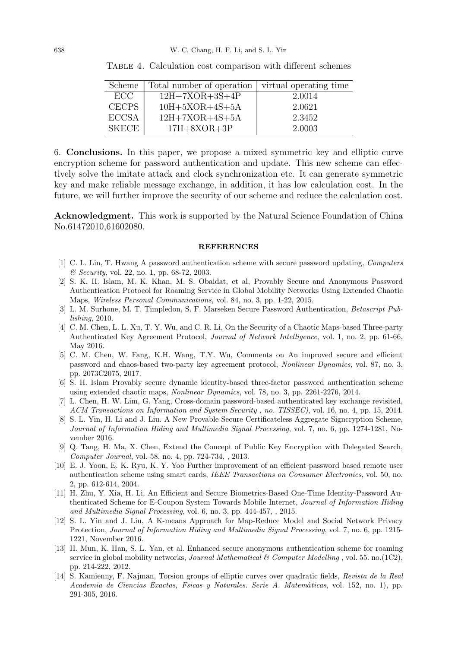| Scheme       | Total number of operation    virtual operating time |        |
|--------------|-----------------------------------------------------|--------|
| ECC          | $12H+7XOR+3S+4P$                                    | 2.0014 |
| <b>CECPS</b> | $10H+5XOR+4S+5A$                                    | 2.0621 |
| <b>ECCSA</b> | $12H+7XOR+4S+5A$                                    | 2.3452 |
| <b>SKECE</b> | $17H+8XOR+3P$                                       | 2.0003 |

Table 4. Calculation cost comparison with different schemes

6. Conclusions. In this paper, we propose a mixed symmetric key and elliptic curve encryption scheme for password authentication and update. This new scheme can effectively solve the imitate attack and clock synchronization etc. It can generate symmetric key and make reliable message exchange, in addition, it has low calculation cost. In the future, we will further improve the security of our scheme and reduce the calculation cost.

Acknowledgment. This work is supported by the Natural Science Foundation of China No.61472010,61602080.

## **REFERENCES**

- [1] C. L. Lin, T. Hwang A password authentication scheme with secure password updating, Computers & Security, vol. 22, no. 1, pp. 68-72, 2003.
- [2] S. K. H. Islam, M. K. Khan, M. S. Obaidat, et al, Provably Secure and Anonymous Password Authentication Protocol for Roaming Service in Global Mobility Networks Using Extended Chaotic Maps, Wireless Personal Communications, vol. 84, no. 3, pp. 1-22, 2015.
- [3] L. M. Surhone, M. T. Timpledon, S. F. Marseken Secure Password Authentication, Betascript Publishing, 2010.
- [4] C. M. Chen, L. L. Xu, T. Y. Wu, and C. R. Li, On the Security of a Chaotic Maps-based Three-party Authenticated Key Agreement Protocol, Journal of Network Intelligence, vol. 1, no. 2, pp. 61-66, May 2016.
- [5] C. M. Chen, W. Fang, K.H. Wang, T.Y. Wu, Comments on An improved secure and efficient password and chaos-based two-party key agreement protocol, Nonlinear Dynamics, vol. 87, no. 3, pp. 2073C2075, 2017.
- [6] S. H. Islam Provably secure dynamic identity-based three-factor password authentication scheme using extended chaotic maps, *Nonlinear Dynamics*, vol. 78, no. 3, pp. 2261-2276, 2014.
- [7] L. Chen, H. W. Lim, G. Yang, Cross-domain password-based authenticated key exchange revisited, ACM Transactions on Information and System Security , no. TISSEC), vol. 16, no. 4, pp. 15, 2014.
- [8] S. L. Yin, H. Li and J. Liu. A New Provable Secure Certificateless Aggregate Signcryption Scheme, Journal of Information Hiding and Multimedia Signal Processing, vol. 7, no. 6, pp. 1274-1281, November 2016.
- [9] Q. Tang, H. Ma, X. Chen, Extend the Concept of Public Key Encryption with Delegated Search, Computer Journal, vol. 58, no. 4, pp. 724-734, , 2013.
- [10] E. J. Yoon, E. K. Ryu, K. Y. Yoo Further improvement of an efficient password based remote user authentication scheme using smart cards, IEEE Transactions on Consumer Electronics, vol. 50, no. 2, pp. 612-614, 2004.
- [11] H. Zhu, Y. Xia, H. Li, An Efficient and Secure Biometrics-Based One-Time Identity-Password Authenticated Scheme for E-Coupon System Towards Mobile Internet, Journal of Information Hiding and Multimedia Signal Processing, vol. 6, no. 3, pp. 444-457, , 2015.
- [12] S. L. Yin and J. Liu, A K-means Approach for Map-Reduce Model and Social Network Privacy Protection, Journal of Information Hiding and Multimedia Signal Processing, vol. 7, no. 6, pp. 1215- 1221, November 2016.
- [13] H. Mun, K. Han, S. L. Yan, et al. Enhanced secure anonymous authentication scheme for roaming service in global mobility networks, *Journal Mathematical & Computer Modelling*, vol. 55. no.(1C2), pp. 214-222, 2012.
- [14] S. Kamienny, F. Najman, Torsion groups of elliptic curves over quadratic fields, Revista de la Real Academia de Ciencias Exactas, Fsicas y Naturales. Serie A. Matemáticas, vol. 152, no. 1), pp. 291-305, 2016.